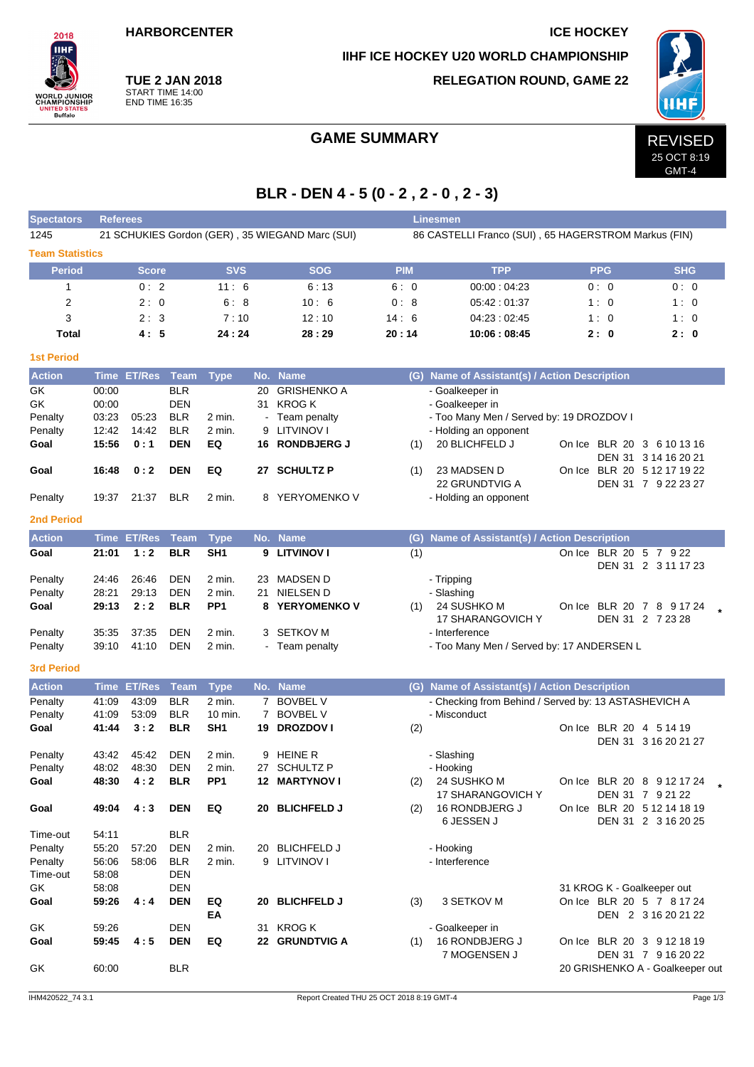**HARBORCENTER ICE HOCKEY** 

**IIHF ICE HOCKEY U20 WORLD CHAMPIONSHIP**



**TUE 2 JAN 2018** START TIME 14:00 END TIME 16:35

**RELEGATION ROUND, GAME 22**



# GAME SUMMARY REVISED

# 25 OCT 8:19 GMT-4

# **BLR - DEN 4 - 5 (0 - 2 , 2 - 0 , 2 - 3)**

| <b>Spectators</b>      | <b>Referees</b><br><b>Linesmen</b> |               |                          |                           |    |                                                 |                                                      |                                                      |                            |                                 |  |  |  |  |  |
|------------------------|------------------------------------|---------------|--------------------------|---------------------------|----|-------------------------------------------------|------------------------------------------------------|------------------------------------------------------|----------------------------|---------------------------------|--|--|--|--|--|
| 1245                   |                                    |               |                          |                           |    | 21 SCHUKIES Gordon (GER), 35 WIEGAND Marc (SUI) | 86 CASTELLI Franco (SUI), 65 HAGERSTROM Markus (FIN) |                                                      |                            |                                 |  |  |  |  |  |
| <b>Team Statistics</b> |                                    |               |                          |                           |    |                                                 |                                                      |                                                      |                            |                                 |  |  |  |  |  |
| <b>Period</b>          |                                    | Score         |                          | <b>SVS</b>                |    | <b>SOG</b>                                      | <b>PIM</b>                                           | <b>TPP</b>                                           | <b>PPG</b>                 | <b>SHG</b>                      |  |  |  |  |  |
| 1                      |                                    | 0:2           |                          | 11:6                      |    | 6:13                                            | 6:0                                                  | 00:00:04:23                                          | 0:0                        | 0:0                             |  |  |  |  |  |
| 2                      |                                    | 2:0           |                          | 6:8                       |    | 10:6                                            | 0:8                                                  | 05:42:01:37                                          | 1:0                        | 1:0                             |  |  |  |  |  |
| 3                      |                                    | 2:3           |                          | 7:10                      |    | 12:10                                           | 14:6                                                 | 04:23:02:45                                          | 1:0                        | 1:0                             |  |  |  |  |  |
| <b>Total</b>           |                                    | 4:5           |                          | 24:24                     |    | 28:29                                           | 20:14                                                | 10:06:08:45                                          | 2:0                        | 2:0                             |  |  |  |  |  |
| <b>1st Period</b>      |                                    |               |                          |                           |    |                                                 |                                                      |                                                      |                            |                                 |  |  |  |  |  |
| <b>Action</b>          |                                    | Time ET/Res   | Team                     | <b>Type</b>               |    | No. Name                                        |                                                      | (G) Name of Assistant(s) / Action Description        |                            |                                 |  |  |  |  |  |
| GK                     | 00:00                              |               | <b>BLR</b>               |                           | 20 | <b>GRISHENKO A</b>                              |                                                      | - Goalkeeper in                                      |                            |                                 |  |  |  |  |  |
| GK                     | 00:00                              |               | <b>DEN</b>               |                           |    | 31 KROG K                                       |                                                      | - Goalkeeper in                                      |                            |                                 |  |  |  |  |  |
| Penalty                | 03:23                              | 05:23         | <b>BLR</b>               | 2 min.                    |    | Team penalty                                    |                                                      | - Too Many Men / Served by: 19 DROZDOV I             |                            |                                 |  |  |  |  |  |
| Penalty<br>Goal        | 12:42<br>15:56                     | 14:42<br>0:1  | <b>BLR</b><br><b>DEN</b> | 2 min.<br>EQ              | 9  | <b>LITVINOV I</b><br>16 RONDBJERG J             | (1)                                                  | - Holding an opponent<br>20 BLICHFELD J              |                            | On Ice BLR 20 3 6 10 13 16      |  |  |  |  |  |
|                        |                                    |               |                          |                           |    |                                                 |                                                      |                                                      |                            | DEN 31 3 14 16 20 21            |  |  |  |  |  |
| Goal                   | 16:48                              | 0:2           | <b>DEN</b>               | EQ                        |    | 27 SCHULTZ P                                    | (1)                                                  | 23 MADSEN D                                          |                            | On Ice BLR 20 5 12 17 19 22     |  |  |  |  |  |
|                        |                                    |               |                          |                           |    |                                                 |                                                      | 22 GRUNDTVIG A                                       |                            | DEN 31 7 9 22 23 27             |  |  |  |  |  |
| Penalty                | 19:37                              | 21:37         | <b>BLR</b>               | 2 min.                    | 8  | YERYOMENKO V                                    |                                                      | - Holding an opponent                                |                            |                                 |  |  |  |  |  |
| 2nd Period             |                                    |               |                          |                           |    |                                                 |                                                      |                                                      |                            |                                 |  |  |  |  |  |
| <b>Action</b>          |                                    | Time ET/Res   | Team                     | <b>Type</b>               |    | No. Name                                        |                                                      | (G) Name of Assistant(s) / Action Description        |                            |                                 |  |  |  |  |  |
| Goal                   | 21:01                              | 1:2           | <b>BLR</b>               | SH <sub>1</sub>           |    | 9 LITVINOV I                                    | (1)                                                  |                                                      | On Ice BLR 20 5 7 9 22     |                                 |  |  |  |  |  |
|                        |                                    |               |                          |                           |    |                                                 |                                                      |                                                      |                            | DEN 31 2 3 11 17 23             |  |  |  |  |  |
| Penalty                | 24:46                              | 26:46         | <b>DEN</b><br><b>DEN</b> | 2 min.                    |    | 23 MADSEN D                                     |                                                      | - Tripping                                           |                            |                                 |  |  |  |  |  |
| Penalty<br>Goal        | 28:21<br>29:13                     | 29:13<br>2:2  | <b>BLR</b>               | 2 min.<br>PP <sub>1</sub> | 8  | 21 NIELSEN D<br>YERYOMENKO V                    | (1)                                                  | - Slashing<br>24 SUSHKO M                            |                            | On Ice BLR 20 7 8 9 17 24       |  |  |  |  |  |
|                        |                                    |               |                          |                           |    |                                                 |                                                      | 17 SHARANGOVICH Y                                    |                            | DEN 31 2 7 23 28                |  |  |  |  |  |
| Penalty                | 35:35                              | 37:35         | <b>DEN</b>               | 2 min.                    |    | 3 SETKOV M                                      |                                                      | - Interference                                       |                            |                                 |  |  |  |  |  |
| Penalty                | 39:10                              | 41:10         | DEN                      | 2 min.                    |    | - Team penalty                                  |                                                      | - Too Many Men / Served by: 17 ANDERSEN L            |                            |                                 |  |  |  |  |  |
| <b>3rd Period</b>      |                                    |               |                          |                           |    |                                                 |                                                      |                                                      |                            |                                 |  |  |  |  |  |
| <b>Action</b>          | <b>Time</b>                        | <b>ET/Res</b> | <b>Team</b>              | <b>Type</b>               |    | No. Name                                        |                                                      | (G) Name of Assistant(s) / Action Description        |                            |                                 |  |  |  |  |  |
| Penalty                | 41:09                              | 43:09         | <b>BLR</b>               | $2$ min.                  |    | 7 BOVBEL V                                      |                                                      | - Checking from Behind / Served by: 13 ASTASHEVICH A |                            |                                 |  |  |  |  |  |
| Penalty                | 41:09                              | 53:09         | <b>BLR</b>               | 10 min.                   | 7  | <b>BOVBEL V</b>                                 |                                                      | - Misconduct                                         |                            |                                 |  |  |  |  |  |
| Goal                   | 41:44                              | 3:2           | <b>BLR</b>               | SH <sub>1</sub>           | 19 | <b>DROZDOVI</b>                                 | (2)                                                  |                                                      | On Ice BLR 20 4 5 14 19    |                                 |  |  |  |  |  |
| Penalty                | 43:42                              | 45:42         | DEN                      | 2 min.                    |    | 9 HEINE R                                       |                                                      | - Slashing                                           |                            | DEN 31 3 16 20 21 27            |  |  |  |  |  |
| Penalty                | 48:02                              | 48:30         | <b>DEN</b>               | 2 min.                    |    | 27 SCHULTZ P                                    |                                                      | - Hooking                                            |                            |                                 |  |  |  |  |  |
| Goal                   | 48:30                              | 4:2           | <b>BLR</b>               | PP <sub>1</sub>           |    | 12 MARTYNOV I                                   | (2)                                                  | 24 SUSHKO M                                          |                            | On Ice BLR 20 8 9 12 17 24      |  |  |  |  |  |
|                        |                                    |               |                          |                           |    |                                                 |                                                      | 17 SHARANGOVICH Y                                    |                            | DEN 31 7 9 21 22                |  |  |  |  |  |
| Goal                   | 49:04                              | 4:3           | <b>DEN</b>               | EQ                        |    | 20 BLICHFELD J                                  | (2)                                                  | 16 RONDBJERG J                                       |                            | On Ice BLR 20 5 12 14 18 19     |  |  |  |  |  |
| Time-out               | 54:11                              |               | <b>BLR</b>               |                           |    |                                                 |                                                      | 6 JESSEN J                                           |                            | DEN 31 2 3 16 20 25             |  |  |  |  |  |
| Penalty                | 55:20                              | 57:20         | <b>DEN</b>               | 2 min.                    |    | 20 BLICHFELD J                                  |                                                      | - Hooking                                            |                            |                                 |  |  |  |  |  |
| Penalty                | 56:06                              | 58:06         | <b>BLR</b>               | 2 min.                    |    | 9 LITVINOV I                                    |                                                      | - Interference                                       |                            |                                 |  |  |  |  |  |
| Time-out               | 58:08                              |               | DEN                      |                           |    |                                                 |                                                      |                                                      |                            |                                 |  |  |  |  |  |
| GK                     | 58:08                              |               | <b>DEN</b>               |                           |    |                                                 |                                                      |                                                      | 31 KROG K - Goalkeeper out |                                 |  |  |  |  |  |
| Goal                   | 59:26                              | 4:4           | <b>DEN</b>               | EQ                        |    | 20 BLICHFELD J                                  | (3)                                                  | 3 SETKOV M                                           |                            | On Ice BLR 20 5 7 8 17 24       |  |  |  |  |  |
| GK                     | 59:26                              |               | <b>DEN</b>               | EA                        |    | 31 KROG K                                       |                                                      | - Goalkeeper in                                      |                            | DEN 2 3 16 20 21 22             |  |  |  |  |  |
| Goal                   | 59:45                              | 4:5           | <b>DEN</b>               | EQ                        |    | 22 GRUNDTVIG A                                  | (1)                                                  | 16 RONDBJERG J                                       |                            | On Ice BLR 20 3 9 12 18 19      |  |  |  |  |  |
|                        |                                    |               |                          |                           |    |                                                 |                                                      | 7 MOGENSEN J                                         |                            | DEN 31 7 9 16 20 22             |  |  |  |  |  |
| GK                     | 60:00                              |               | <b>BLR</b>               |                           |    |                                                 |                                                      |                                                      |                            | 20 GRISHENKO A - Goalkeeper out |  |  |  |  |  |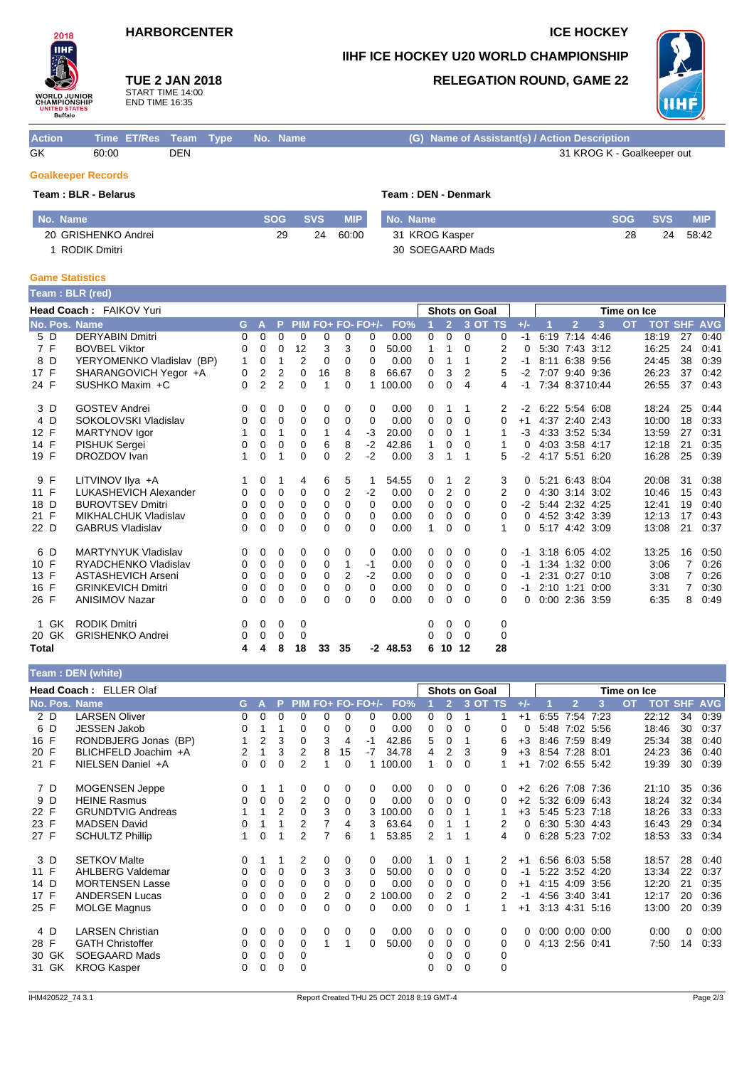## **HARBORCENTER ICE HOCKEY**

### **IIHF ICE HOCKEY U20 WORLD CHAMPIONSHIP**



# **TUE 2 JAN 2018**

START TIME 14:00 END TIME 16:35

### **RELEGATION ROUND, GAME 22**



| <b>Action</b>             | Time ET/Res Team Type No. Name |     |  | (G) Name of Assistant(s) / Action Description |
|---------------------------|--------------------------------|-----|--|-----------------------------------------------|
| GK                        | 60:00                          | DEN |  | 31 KROG K - Goalkeeper out                    |
| <b>Goalkeeper Records</b> |                                |     |  |                                               |

# **Team : BLR - Belarus Team : DEN - Denmark**

| No. Name            | <b>SOG</b> | <b>SVS</b> | <b>MIP</b> | No. Name         | SOG | <b>SVS</b> | <b>MIP</b> |
|---------------------|------------|------------|------------|------------------|-----|------------|------------|
| 20 GRISHENKO Andrei | 29         | 24         | 60:00      | 31 KROG Kasper   | 28  | 24         | 58:42      |
| RODIK Dmitri        |            |            |            | 30 SOEGAARD Mads |     |            |            |

### **Game Statistics**

|              |       | Team: BLR (red)             |          |                |                |          |          |                |                   |            |          |                |          |                      |       |                |   |             |                    |    |      |
|--------------|-------|-----------------------------|----------|----------------|----------------|----------|----------|----------------|-------------------|------------|----------|----------------|----------|----------------------|-------|----------------|---|-------------|--------------------|----|------|
|              |       | Head Coach: FAIKOV Yuri     |          |                |                |          |          |                |                   |            |          |                |          | <b>Shots on Goal</b> |       |                |   | Time on Ice |                    |    |      |
|              |       | No. Pos. Name               | G.       | A              | P              |          |          |                | PIM FO+ FO- FO+/- | FO%        |          | $\overline{2}$ |          | 3 OT TS              | $+/-$ | $\overline{2}$ | 3 | <b>OT</b>   | <b>TOT SHF AVG</b> |    |      |
|              | 5 D   | <b>DERYABIN Dmitri</b>      | 0        | 0              | 0              | 0        | 0        | 0              | 0                 | 0.00       | 0        | 0              | $\Omega$ | 0                    | $-1$  | 6:19 7:14 4:46 |   |             | 18:19              | 27 | 0:40 |
|              | 7 F   | <b>BOVBEL Viktor</b>        | 0        | 0              | 0              | 12       | 3        | 3              | 0                 | 50.00      | 1        | 1              | 0        | 2                    | 0     | 5:30 7:43 3:12 |   |             | 16:25              | 24 | 0:41 |
|              | 8 D   | YERYOMENKO Vladislav (BP)   | 1        | 0              | 1              | 2        | 0        | 0              | 0                 | 0.00       | 0        | 1              | 1        | 2                    | -1    | 8:11 6:38 9:56 |   |             | 24:45              | 38 | 0:39 |
| 17 F         |       | SHARANGOVICH Yegor +A       | 0        | 2              | 2              | 0        | 16       | 8              | 8                 | 66.67      | $\Omega$ | 3              | 2        | 5                    | $-2$  | 7:07 9:40 9:36 |   |             | 26:23              | 37 | 0:42 |
| 24 F         |       | SUSHKO Maxim +C             | $\Omega$ | $\overline{2}$ | $\overline{2}$ | 0        | 1        | $\Omega$       | 1                 | 100.00     | 0        | 0              | 4        | 4                    | $-1$  | 7:34 8:3710:44 |   |             | 26:55              | 37 | 0:43 |
|              | 3 D   | <b>GOSTEV Andrei</b>        | 0        | 0              | 0              | 0        | 0        | 0              | 0                 | 0.00       | 0        |                | 1        | 2                    | $-2$  | 6:22 5:54 6:08 |   |             | 18:24              | 25 | 0:44 |
|              | 4 D   | SOKOLOVSKI Vladislav        | 0        | 0              | 0              | 0        | 0        | 0              | $\Omega$          | 0.00       | $\Omega$ | 0              | $\Omega$ | 0                    | $+1$  | 4:37 2:40 2:43 |   |             | 10:00              | 18 | 0:33 |
| 12 F         |       | MARTYNOV Igor               |          | 0              | 1              | $\Omega$ | 1        | 4              | -3                | 20.00      | 0        | 0              | 1        | 1                    | -3    | 4:33 3:52 5:34 |   |             | 13:59              | 27 | 0:31 |
| 14 F         |       | <b>PISHUK Sergei</b>        | 0        | 0              | 0              | 0        | 6        | 8              | $-2$              | 42.86      | 1        | 0              | 0        | 1                    | 0     | 4:03 3:58 4:17 |   |             | 12:18              | 21 | 0:35 |
| 19 F         |       | DROZDOV Ivan                | 1        | 0              | 1              | $\Omega$ | 0        | $\overline{2}$ | $-2$              | 0.00       | 3        | 1              | 1        | 5                    | $-2$  | 4:17 5:51 6:20 |   |             | 16:28              | 25 | 0:39 |
|              | 9 F   | LITVINOV IIya +A            |          | 0              | 1              | 4        | 6        | 5              |                   | 54.55      | 0        |                | 2        | 3                    | 0     | 5:21 6:43 8:04 |   |             | 20:08              | 31 | 0:38 |
| 11 F         |       | LUKASHEVICH Alexander       | 0        | 0              | 0              | 0        | 0        | 2              | $-2$              | 0.00       | 0        | 2              | 0        | 2                    | 0     | 4:30 3:14 3:02 |   |             | 10:46              | 15 | 0.43 |
| 18 D         |       | <b>BUROVTSEV Dmitri</b>     | 0        | 0              | 0              | 0        | 0        | 0              | $\Omega$          | 0.00       | 0        | 0              | $\Omega$ | 0                    | -2    | 5:44 2:32 4:25 |   |             | 12:41              | 19 | 0:40 |
| 21 F         |       | <b>MIKHALCHUK Vladislav</b> | 0        | 0              | 0              | 0        | 0        | $\Omega$       | $\Omega$          | 0.00       | 0        | 0              | 0        | 0                    | 0     | 4:52 3:42 3:39 |   |             | 12:13              | 17 | 0:43 |
| 22 D         |       | <b>GABRUS Vladislav</b>     | 0        | 0              | 0              | 0        | 0        | 0              | $\Omega$          | 0.00       | 1        | 0              | $\Omega$ | 1                    | 0     | 5:17 4:42 3:09 |   |             | 13:08              | 21 | 0:37 |
|              | 6 D   | <b>MARTYNYUK Vladislav</b>  | 0        | 0              | 0              | 0        | 0        | 0              | 0                 | 0.00       | 0        | 0              | 0        | 0                    | -1    | 3:18 6:05 4:02 |   |             | 13:25              | 16 | 0:50 |
| 10 F         |       | RYADCHENKO Vladislav        | 0        | 0              | 0              | 0        | 0        | 1              | -1                | 0.00       | 0        | 0              | $\Omega$ | 0                    | -1    | 1:34 1:32 0:00 |   |             | 3:06               | 7  | 0:26 |
| 13 F         |       | <b>ASTASHEVICH Arseni</b>   | 0        | 0              | 0              | $\Omega$ | $\Omega$ | 2              | $-2$              | 0.00       | 0        | 0              | $\Omega$ | 0                    | -1    | 2:31 0:27 0:10 |   |             | 3:08               | 7  | 0:26 |
| 16 F         |       | <b>GRINKEVICH Dmitri</b>    | 0        | 0              | 0              | $\Omega$ | 0        | $\Omega$       | 0                 | 0.00       | $\Omega$ | 0              | $\Omega$ | 0                    | -1    | 2:10 1:21 0:00 |   |             | 3:31               | 7  | 0:30 |
| 26 F         |       | <b>ANISIMOV Nazar</b>       | $\Omega$ | 0              | 0              | 0        | 0        | 0              | 0                 | 0.00       | 0        | 0              | $\Omega$ | 0                    | 0     | 0:00 2:36 3:59 |   |             | 6:35               | 8  | 0:49 |
|              | 1 GK  | <b>RODIK Dmitri</b>         | 0        | 0              | 0              | 0        |          |                |                   |            | 0        | 0              | 0        | 0                    |       |                |   |             |                    |    |      |
|              | 20 GK | <b>GRISHENKO Andrei</b>     | 0        | 0              | 0              | 0        |          |                |                   |            | 0        | $\Omega$       | $\Omega$ | 0                    |       |                |   |             |                    |    |      |
| <b>Total</b> |       |                             | 4        | 4              | 8              | 18       | 33       | 35             |                   | $-2$ 48.53 | 6        |                | 10 12    | 28                   |       |                |   |             |                    |    |      |

### **Team : DEN (white)**

| Head Coach: ELLER Olaf |                          |                |   |                |          |   |    |                   |          | <b>Shots on Goal</b> |    |         |   |       | Time on Ice |                |      |           |                |          |            |
|------------------------|--------------------------|----------------|---|----------------|----------|---|----|-------------------|----------|----------------------|----|---------|---|-------|-------------|----------------|------|-----------|----------------|----------|------------|
|                        | No. Pos. Name            | G.             | A | P              |          |   |    | PIM FO+ FO- FO+/- | FO%      |                      | Ø. | 3 OT TS |   | $+/-$ |             | $\overline{2}$ | 3    | <b>OT</b> | <b>TOT SHF</b> |          | <b>AVG</b> |
| 2 D                    | <b>LARSEN Oliver</b>     | 0              | 0 | 0              | 0        | 0 | 0  | 0                 | 0.00     | 0                    | 0  |         |   | $+1$  |             | 6:55 7:54 7:23 |      |           | 22:12          | 34       | 0:39       |
| 6 D                    | <b>JESSEN Jakob</b>      | 0              |   |                | 0        | 0 | 0  | 0                 | 0.00     | 0                    | 0  | 0       | 0 | 0     |             | 5:48 7:02 5:56 |      |           | 18:46          | 30       | 0:37       |
| 16 F                   | RONDBJERG Jonas (BP)     | 1              | 2 | 3              | $\Omega$ | 3 | 4  | -1                | 42.86    | 5                    | 0  |         | 6 | $+3$  |             | 8:46 7:59 8:49 |      |           | 25:34          | 38       | 0:40       |
| 20 F                   | BLICHFELD Joachim +A     | $\overline{2}$ | 1 | 3              | 2        | 8 | 15 | $-7$              | 34.78    | 4                    | 2  | 3       | 9 | $+3$  |             | 8:54 7:28 8:01 |      |           | 24:23          | 36       | 0:40       |
| 21 F                   | NIELSEN Daniel +A        | 0              | 0 | 0              | 2        |   | 0  |                   | 1 100.00 | 1                    | 0  | 0       |   | $+1$  |             | 7:02 6:55 5:42 |      |           | 19:39          | 30       | 0:39       |
| 7 D                    | <b>MOGENSEN Jeppe</b>    | 0              |   |                | 0        | 0 | 0  | 0                 | 0.00     | 0                    | 0  | 0       | 0 | $+2$  |             | 6:26 7:08 7:36 |      |           | 21:10          | 35       | 0:36       |
| 9 D                    | <b>HEINE Rasmus</b>      | 0              | 0 | 0              | 2        | 0 | 0  | 0                 | 0.00     | 0                    | 0  | 0       | 0 | $+2$  |             | 5:32 6:09      | 6:43 |           | 18:24          | 32       | 0:34       |
| 22 F                   | <b>GRUNDTVIG Andreas</b> |                | 1 | $\overline{2}$ | $\Omega$ | 3 | 0  |                   | 3 100.00 | 0                    | 0  |         |   | $+3$  |             | 5:45 5:23 7:18 |      |           | 18:26          | 33       | 0:33       |
| 23 F                   | <b>MADSEN David</b>      | 0              |   |                | 2        | 7 | 4  | 3                 | 63.64    | 0                    |    |         | 2 | 0     |             | 6:30 5:30 4:43 |      |           | 16:43          | 29       | 0:34       |
| 27 F                   | <b>SCHULTZ Phillip</b>   | 1              | 0 |                | 2        | 7 | 6  |                   | 53.85    | 2                    |    |         | 4 | 0     |             | 6:28 5:23 7:02 |      |           | 18:53          | 33       | 0:34       |
| 3 D                    | <b>SETKOV Malte</b>      | 0              |   |                | 2        | 0 | 0  | 0                 | 0.00     |                      | 0  |         | 2 | $+1$  |             | 6:56 6:03 5:58 |      |           | 18:57          | 28       | 0:40       |
| 11 F                   | AHLBERG Valdemar         | 0              | 0 | 0              | 0        | 3 | 3  |                   | 50.00    | 0                    | 0  | 0       | 0 | -1    |             | 5:22 3:52 4:20 |      |           | 13:34          | 22       | 0:37       |
| 14 D                   | <b>MORTENSEN Lasse</b>   | 0              | 0 | 0              | 0        | 0 | 0  | 0                 | 0.00     | 0                    | 0  | 0       | 0 | $+1$  |             | 4:15 4:09      | 3:56 |           | 12:20          | 21       | 0:35       |
| 17 F                   | <b>ANDERSEN Lucas</b>    | 0              | 0 | 0              | 0        | 2 | 0  |                   | 2 100.00 | 0                    | 2  | 0       | 2 | -1    |             | 4:56 3:40 3:41 |      |           | 12:17          | 20       | 0:36       |
| 25 F                   | <b>MOLGE Magnus</b>      | 0              | 0 | 0              | 0        | 0 | 0  | 0                 | 0.00     | 0                    | 0  |         |   | $+1$  |             | 3:13 4:31 5:16 |      |           | 13:00          | 20       | 0:39       |
| 4 D                    | <b>LARSEN Christian</b>  | 0              | 0 | 0              | 0        | 0 | 0  | $\Omega$          | 0.00     | 0                    | 0  | 0       | 0 | 0     |             | $0:00$ $0:00$  | 0:00 |           | 0:00           | $\Omega$ | 0:00       |
| 28 F                   | <b>GATH Christoffer</b>  | 0              | 0 | 0              | 0        |   |    | 0                 | 50.00    | 0                    | 0  | 0       | 0 | 0     |             | 4:13 2:56      | 0.41 |           | 7:50           | 14       | 0:33       |
| 30 GK                  | <b>SOEGAARD Mads</b>     | 0              | 0 | 0              | 0        |   |    |                   |          | 0                    | 0  | 0       | 0 |       |             |                |      |           |                |          |            |
| 31 GK                  | <b>KROG Kasper</b>       | 0              | 0 | 0              | 0        |   |    |                   |          | 0                    | 0  | 0       | 0 |       |             |                |      |           |                |          |            |